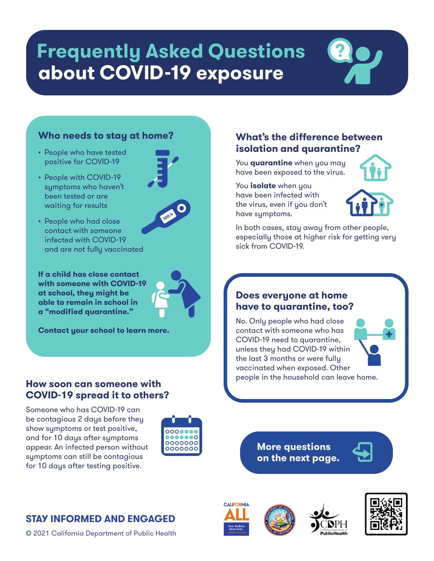# **about COVID-19 exposure Frequently Asked Questions**



- People who have tested positive for COVID-19
- People with COVID-19 symptoms who haven't been tested or are waiting for results
- People who had close contact with someone infected with COVID-19 and are not fully vaccinated

**If a child has close contact with someone with COVID-19 at school, they might be able to remain in school in a "modified quarantine."** 

**Contact your school to learn more.** 

#### **How soon can someone with COVID-19 spread it to others?**

Someone who has COVID-19 can be contagious 2 days before they show symptoms or test positive, and for 10 days after symptoms appear. An infected person without symptoms can still be contagious for 10 days after testing positive.



### **What's the difference between isolation and quarantine?**

You **quarantine** when you may have been exposed to the virus.

You **isolate** when you have been infected with the virus, even if you don't have symptoms.



In both cases, stay away from other people, especially those at higher risk for getting very sick from COVID-19.

#### **Does everyone at home have to quarantine, too?**

No. Only people who had close contact with someone who has COVID-19 need to quarantine, unless they had COVID-19 within the last 3 months or were fully vaccinated when exposed. Other people in the household can leave home.

> **More questions on the next page.**



## **STAY INFORMED AND ENGAGED**

© 2021 California Department of Public Health

**CALIFORNIA** 









**100.4**